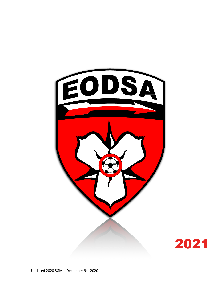

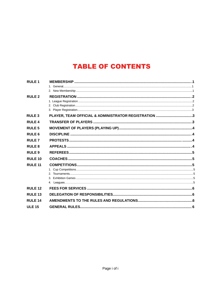# **TABLE OF CONTENTS**

| <b>RULE1</b>      |                                                      |  |
|-------------------|------------------------------------------------------|--|
| RULE <sub>2</sub> |                                                      |  |
| <b>RULE 3</b>     | PLAYER, TEAM OFFICIAL & ADMINISTRATOR REGISTRATION 3 |  |
| <b>RULE4</b>      |                                                      |  |
| <b>RULE 5</b>     |                                                      |  |
| <b>RULE 6</b>     |                                                      |  |
| <b>RULE7</b>      |                                                      |  |
| <b>RULE 8</b>     |                                                      |  |
| <b>RULE 9</b>     |                                                      |  |
| <b>RULE 10</b>    |                                                      |  |
| <b>RULE 11</b>    |                                                      |  |
|                   |                                                      |  |
|                   |                                                      |  |
|                   |                                                      |  |
| <b>RULE 12</b>    |                                                      |  |
| <b>RULE 13</b>    |                                                      |  |
| <b>RULE 14</b>    |                                                      |  |
| <b>ULE 15</b>     |                                                      |  |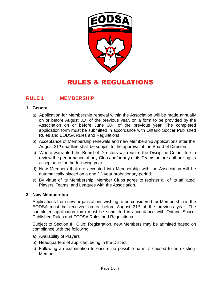

# RULES & REGULATIONS

## **RULE 1 MEMBERSHIP**

#### **1. General**

- a) Application for Membership renewal within the Association will be made annually on or before August 31st of the previous year, on a form to be provided by the Association on or before June 30<sup>th</sup> of the previous year. The completed application form must be submitted in accordance with Ontario Soccer Published Rules and EODSA Rules and Regulations.
- b) Acceptance of Membership renewals and new Membership Applications after the August 31<sup>st</sup> deadline shall be subject to the approval of the Board of Directors.
- c) Where warranted the Board of Directors will require the Discipline Committee to review the performance of any Club and/or any of its Teams before authorizing its acceptance for the following year.
- d) New Members that are accepted into Membership with the Association will be automatically placed on a one (1) year probationary period.
- e) By virtue of its Membership, Member Clubs agree to register all of its affiliated Players, Teams, and Leagues with the Association.

#### **2. New Membership**

Applications from new organizations wishing to be considered for Membership in the EODSA must be received on or before August 31st of the previous year. The completed application form must be submitted in accordance with Ontario Soccer Published Rules and EODSA Rules and Regulations.

Subject to Section III: Club: Registration, new Members may be admitted based on compliance with the following:

- a) Availability of Players
- b) Headquarters of applicant being in the District.
- c) Following an examination to ensure no possible harm is caused to an existing Member.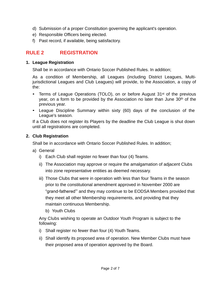- d) Submission of a proper Constitution governing the applicant's operation.
- e) Responsible Officers being elected.
- f) Past record, if available, being satisfactory.

## **RULE 2 REGISTRATION**

#### **1. League Registration**

Shall be in accordance with Ontario Soccer Published Rules. In addition;

As a condition of Membership, all Leagues (including District Leagues, Multijurisdictional Leagues and Club Leagues) will provide, to the Association, a copy of the:

- Terms of League Operations (TOLO), on or before August 31<sup>st</sup> of the previous year, on a form to be provided by the Association no later than June 30<sup>th</sup> of the previous year.
- League Discipline Summary within sixty (60) days of the conclusion of the League's season.

If a Club does not register its Players by the deadline the Club League is shut down until all registrations are completed.

#### **2. Club Registration**

Shall be in accordance with Ontario Soccer Published Rules. In addition;

- a) General
	- i) Each Club shall register no fewer than four (4) Teams.
	- ii) The Association may approve or require the amalgamation of adjacent Clubs into zone representative entities as deemed necessary.
	- iii) Those Clubs that were in operation with less than four Teams in the season prior to the constitutional amendment approved in November 2000 are "grand-fathered"' and they may continue to be EODSA Members provided that they meet all other Membership requirements, and providing that they maintain continuous Membership.
		- b) Youth Clubs

Any Clubs wishing to operate an Outdoor Youth Program is subject to the following:

- i) Shall register no fewer than four (4) Youth Teams.
- ii) Shall identify its proposed area of operation. New Member Clubs must have their proposed area of operation approved by the Board.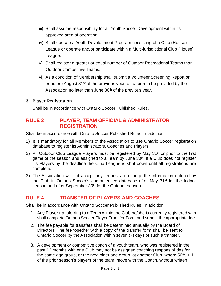- iii) Shall assume responsibility for all Youth Soccer Development within its approved area of operation.
- iv) Shall operate a Youth Development Program consisting of a Club (House) League or operate and/or participate within a Multi-jurisdictional Club (House) League.
- v) Shall register a greater or equal number of Outdoor Recreational Teams than Outdoor Competitive Teams.
- vi) As a condition of Membership shall submit a Volunteer Screening Report on or before August 31st of the previous year, on a form to be provided by the Association no later than June 30<sup>th</sup> of the previous year.

#### **3. Player Registration**

Shall be in accordance with Ontario Soccer Published Rules.

## **RULE 3 PLAYER, TEAM OFFICIAL & ADMINISTRATOR REGISTRATION**

Shall be in accordance with Ontario Soccer Published Rules. In addition;

- 1) It is mandatory for all Members of the Association to use Ontario Soccer registration database to register its Administrators, Coaches and Players.
- 2) All Outdoor Club League Players must be registered by May 31<sup>st</sup> or prior to the first game of the season and assigned to a Team by June 30<sup>th</sup>. If a Club does not register it's Players by the deadline the Club League is shut down until all registrations are complete.
- 3) The Association will not accept any requests to change the information entered by the Club in Ontario Soccer's computerized database after May 31st for the Indoor season and after September 30<sup>th</sup> for the Outdoor season.

# **RULE 4 TRANSFER OF PLAYERS AND COACHES**

Shall be in accordance with Ontario Soccer Published Rules. In addition;

- 1. Any Player transferring to a Team within the Club he/she is currently registered with shall complete Ontario Soccer Player Transfer Form and submit the appropriate fee.
- 2. The fee payable for transfers shall be determined annually by the Board of Directors. The fee together with a copy of the transfer form shall be sent to Ontario Soccer by the Association within seven (7) days of such a transfer.
- 3. A development or competitive coach of a youth team, who was registered in the past 12 months with one Club may not be assigned coaching responsibilities for the same age group, or the next older age group, at another Club, where 50% + 1 of the prior season's players of the team, move with the Coach, without written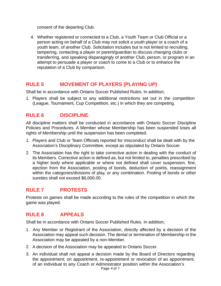consent of the departing Club.

4. Whether registered or connected to a Club, a Youth Team or Club Official or a person acting on behalf of a Club may not solicit a youth player or a coach of a youth team, of another Club. Solicitation includes but is not limited to recruiting, tampering, contacting a player or parent/guardian to discuss changing clubs or transferring, and speaking disparagingly of another Club, person, or program in an attempt to persuade a player or coach to come to a Club or to enhance the reputation of a Club by comparison.

## **RULE 5 MOVEMENT OF PLAYERS (PLAYING UP)**

Shall be in accordance with Ontario Soccer Published Rules. In addition;

1. Players shall be subject to any additional restrictions set out in the competition (League, Tournament, Cup Competition, etc.) in which they are competing.

## **RULE 6 DISCIPLINE**

All discipline matters shall be conducted in accordance with Ontario Soccer Discipline Policies and Procedures. A Member whose Membership has been suspended loses all rights of Membership until the suspension has been completed.

- 1. Players and Club or Team Officials reported for misconduct shall be dealt with by the Association's Disciplinary Committee, except as stipulated by Ontario Soccer.
- 2. The Association has the right to take corrective action in dealing with the conduct of its Members. Corrective action is defined as, but not limited to, penalties prescribed by a higher body where applicable or where not defined shall cover suspension, fine, ejection from the Association, posting of bonds, deduction of points, reassignment within the categories/divisions of play, or any combination. Posting of bonds or other sureties shall not exceed \$6,000.00.

## **RULE 7 PROTESTS**

Protests on games shall be made according to the rules of the competition in which the game was played.

## **RULE 8 APPEALS**

Shall be in accordance with Ontario Soccer Published Rules. In addition;

- 1. Any Member or Registrant of the Association, directly affected by a decision of the Association may appeal such decision. The denial or termination of Membership in the Association may be appealed by a non-Member.
- 2. A decision of the Association may be appealed to Ontario Soccer.
- 3. An individual shall not appeal a decision made by the Board of Directors regarding the appointment; on appointment, re-appointment or revocation of an appointment, of an individual to any Coach or Administrator position within the Association's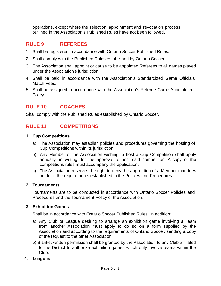operations, except where the selection, appointment and revocation process outlined in the Association's Published Rules have not been followed.

## **RULE 9 REFEREES**

- 1. Shall be registered in accordance with Ontario Soccer Published Rules.
- 2. Shall comply with the Published Rules established by Ontario Soccer.
- 3. The Association shall appoint or cause to be appointed Referees to all games played under the Association's jurisdiction.
- 4. Shall be paid in accordance with the Association's Standardized Game Officials Match Fees.
- 5. Shall be assigned in accordance with the Association's Referee Game Appointment Policy.

## **RULE 10 COACHES**

Shall comply with the Published Rules established by Ontario Soccer.

## **RULE 11 COMPETITIONS**

#### **1. Cup Competitions**

- a) The Association may establish policies and procedures governing the hosting of Cup Competitions within its jurisdiction.
- b) Any Member of the Association wishing to host a Cup Competition shall apply annually, in writing, for the approval to host said competition. A copy of the competitions rules must accompany the application.
- c) The Association reserves the right to deny the application of a Member that does not fulfill the requirements established in the Policies and Procedures.

#### **2. Tournaments**

Tournaments are to be conducted in accordance with Ontario Soccer Policies and Procedures and the Tournament Policy of the Association.

#### **3. Exhibition Games**

Shall be in accordance with Ontario Soccer Published Rules. In addition;

- a) Any Club or League desiring to arrange an exhibition game involving a Team from another Association must apply to do so on a form supplied by the Association and according to the requirements of Ontario Soccer, sending a copy of the request to the other Association.
- b) Blanket written permission shall be granted by the Association to any Club affiliated to the District to authorize exhibition games which only involve teams within the Club.

#### **4. Leagues**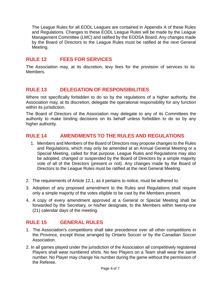The League Rules for all EODL Leagues are contained in Appendix A of these Rules and Regulations. Changes to these EODL League Rules will be made by the League Management Committee (LMC) and ratified by the EODSA Board. Any changes made by the Board of Directors to the League Rules must be ratified at the next General Meeting.

## **RULE 12 FEES FOR SERVICES**

The Association may, at its discretion, levy fees for the provision of services to its Members.

#### **RULE 13 DELEGATION OF RESPONSIBILITIES**

Where not specifically forbidden to do so by the regulations of a higher authority, the Association may, at its discretion, delegate the operational responsibility for any function within its jurisdiction.

The Board of Directors of the Association may delegate to any of its Committees the authority to make binding decisions on its behalf unless forbidden to do so by any higher authority.

#### **RULE 14 AMENDMENTS TO THE RULES AND REGULATIONS**

- 1. Members and Members of the Board of Directors may propose changes to the Rules and Regulations, which may only be amended at an Annual General Meeting or a Special Meeting, called for that purpose. League Rules and Regulations may also be adopted, changed or suspended by the Board of Directors by a simple majority vote of all of the Directors (present or not). Any changes made by the Board of Directors to the League Rules must be ratified at the next General Meeting.
- 2. The requirements of Article 12.1, as it pertains to notice, must be adhered to.
- 3. Adoption of any proposed amendment to the Rules and Regulations shall require only a simple majority of the votes eligible to be cast by the Members present.
- 4. A copy of every amendment approved at a General or Special Meeting shall be forwarded by the Secretary, or his/her designate, to the Members within twenty-one (21) calendar days of the meeting.

## **RULE 15 GENERAL RULES**

- 1. The Association's competitions shall take precedence over all other competitions in the Province, except those arranged by Ontario Soccer or by the Canadian Soccer Association.
- 2. In all games played under the jurisdiction of the Association all competitively registered Players shall wear numbered shirts. No two Players on a Team shall wear the same number. No Player may change his number during the game without the permission of the Referee.